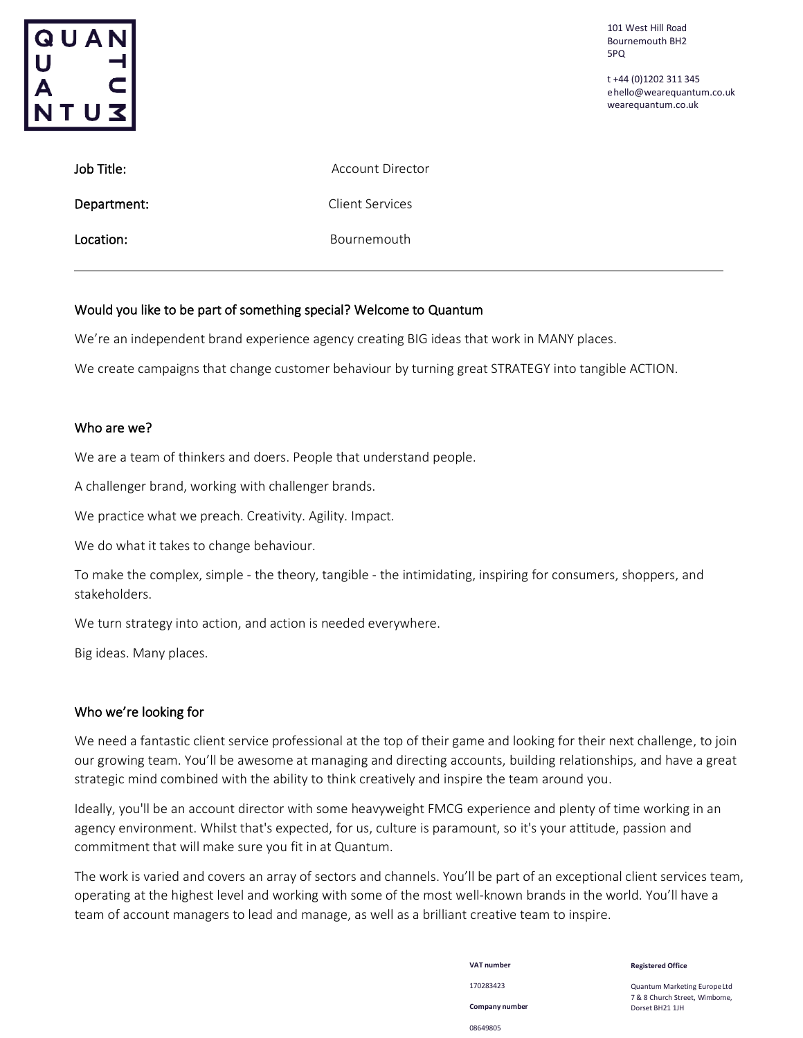

t +44 (0)1202 311 345 [ehello@wearequantum.co.uk](mailto:hello@wearequantum.co.uk) wearequantum.co.uk

| Job Title:  | Account Director       |
|-------------|------------------------|
| Department: | <b>Client Services</b> |
| Location:   | Bournemouth            |

#### Would you like to be part of something special? Welcome to Quantum

We're an independent brand experience agency creating BIG ideas that work in MANY places.

We create campaigns that change customer behaviour by turning great STRATEGY into tangible ACTION.

#### Who are we?

We are a team of thinkers and doers. People that understand people.

A challenger brand, working with challenger brands.

We practice what we preach. Creativity. Agility. Impact.

We do what it takes to change behaviour.

To make the complex, simple - the theory, tangible - the intimidating, inspiring for consumers, shoppers, and stakeholders.

We turn strategy into action, and action is needed everywhere.

Big ideas. Many places.

#### Who we're looking for

We need a fantastic client service professional at the top of their game and looking for their next challenge, to join our growing team. You'll be awesome at managing and directing accounts, building relationships, and have a great strategic mind combined with the ability to think creatively and inspire the team around you.

Ideally, you'll be an account director with some heavyweight FMCG experience and plenty of time working in an agency environment. Whilst that's expected, for us, culture is paramount, so it's your attitude, passion and commitment that will make sure you fit in at Quantum.

The work is varied and covers an array of sectors and channels. You'll be part of an exceptional client services team, operating at the highest level and working with some of the most well-known brands in the world. You'll have a team of account managers to lead and manage, as well as a brilliant creative team to inspire.

> **VAT number** 170283423 **Company number** 08649805

**Registered Office**

Quantum Marketing EuropeLtd 7 & 8 Church Street, Wimborne, Dorset BH21 1JH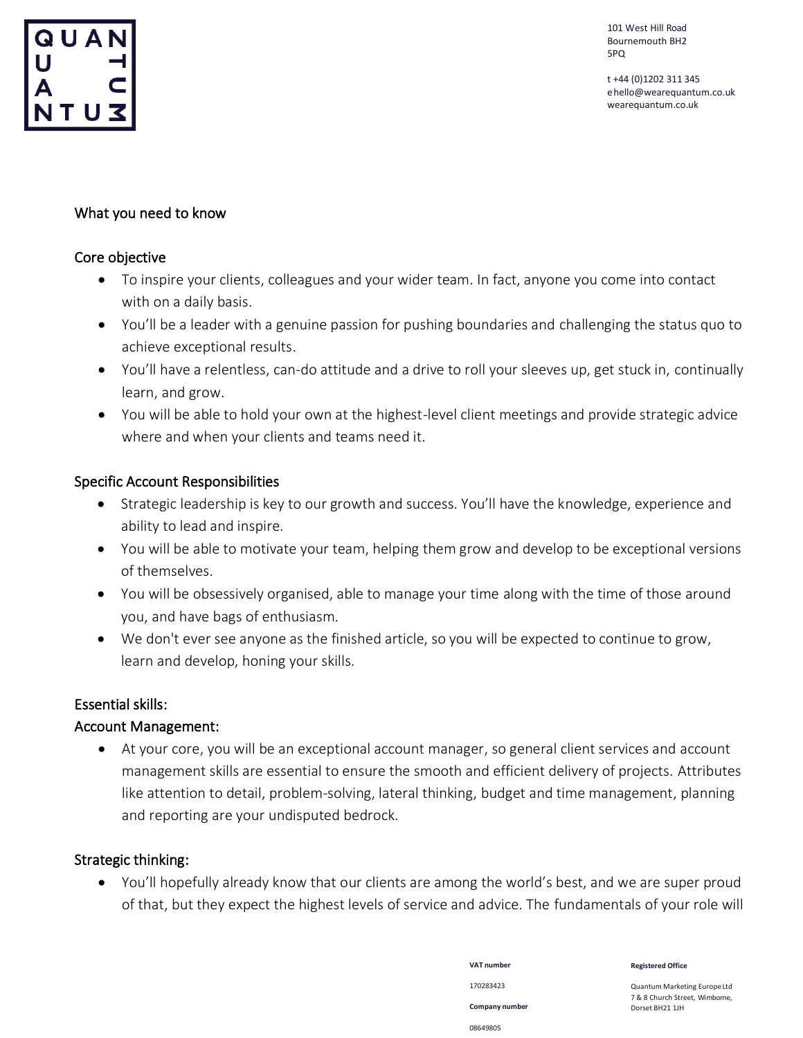

t +44 (0)1202 311 345 [ehello@wearequantum.co.uk](mailto:hello@wearequantum.co.uk) wearequantum.co.uk

## What you need to know

#### Core objective

- To inspire your clients, colleagues and your wider team. In fact, anyone you come into contact with on a daily basis.
- You'll be a leader with a genuine passion for pushing boundaries and challenging the status quo to achieve exceptional results.
- You'll have a relentless, can-do attitude and a drive to roll your sleeves up, get stuck in, continually learn, and grow.
- You will be able to hold your own at the highest-level client meetings and provide strategic advice where and when your clients and teams need it.

## Specific Account Responsibilities

- Strategic leadership is key to our growth and success. You'll have the knowledge, experience and ability to lead and inspire.
- You will be able to motivate your team, helping them grow and develop to be exceptional versions of themselves.
- You will be obsessively organised, able to manage your time along with the time of those around you, and have bags of enthusiasm.
- We don't ever see anyone as the finished article, so you will be expected to continue to grow, learn and develop, honing your skills.

## Essential skills:

## Account Management:

• At your core, you will be an exceptional account manager, so general client services and account management skills are essential to ensure the smooth and efficient delivery of projects. Attributes like attention to detail, problem-solving, lateral thinking, budget and time management, planning and reporting are your undisputed bedrock.

## Strategic thinking:

• You'll hopefully already know that our clients are among the world's best, and we are super proud of that, but they expect the highest levels of service and advice. The fundamentals of your role will

> **VAT number** 170283423 **Company number** 08649805

**Registered Office**

Quantum Marketing EuropeLtd 7 & 8 Church Street, Wimborne, Dorset BH21 1JH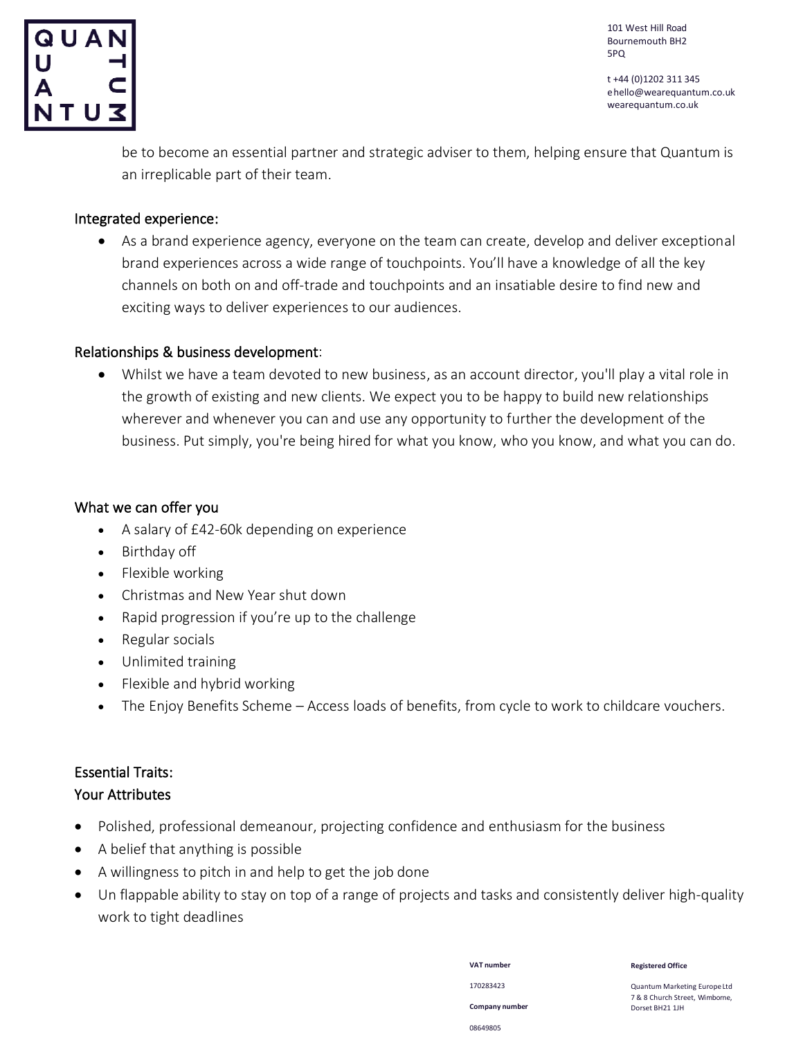

t +44 (0)1202 311 345 [ehello@wearequantum.co.uk](mailto:hello@wearequantum.co.uk) wearequantum.co.uk

be to become an essential partner and strategic adviser to them, helping ensure that Quantum is an irreplicable part of their team.

#### Integrated experience:

• As a brand experience agency, everyone on the team can create, develop and deliver exceptional brand experiences across a wide range of touchpoints. You'll have a knowledge of all the key channels on both on and off-trade and touchpoints and an insatiable desire to find new and exciting ways to deliver experiences to our audiences.

#### Relationships & business development:

• Whilst we have a team devoted to new business, as an account director, you'll play a vital role in the growth of existing and new clients. We expect you to be happy to build new relationships wherever and whenever you can and use any opportunity to further the development of the business. Put simply, you're being hired for what you know, who you know, and what you can do.

#### What we can offer you

- A salary of £42-60k depending on experience
- Birthday off
- Flexible working
- Christmas and New Year shut down
- Rapid progression if you're up to the challenge
- Regular socials
- Unlimited training
- Flexible and hybrid working
- The Enjoy Benefits Scheme Access loads of benefits, from cycle to work to childcare vouchers.

# Essential Traits:

## Your Attributes

- Polished, professional demeanour, projecting confidence and enthusiasm for the business
- A belief that anything is possible
- A willingness to pitch in and help to get the job done
- Un flappable ability to stay on top of a range of projects and tasks and consistently deliver high-quality work to tight deadlines

170283423 **Company number** 08649805

**VAT number**

**Registered Office**

Quantum Marketing EuropeLtd 7 & 8 Church Street, Wimborne, Dorset BH21 1JH